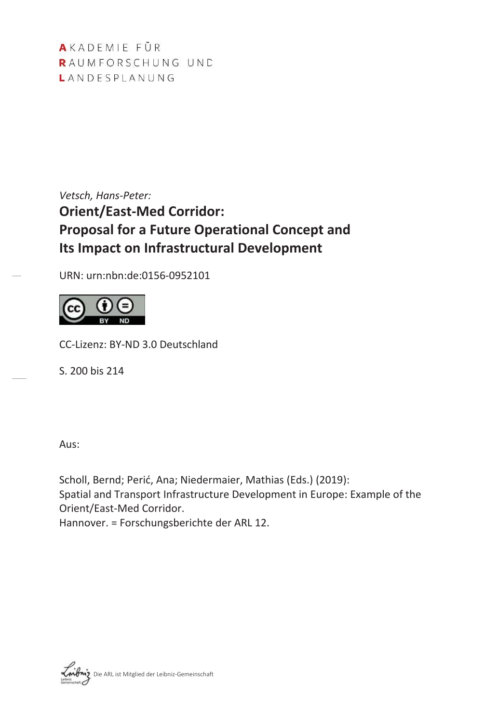AKADEMIE FÜR RAUMFORSCHUNG UND LANDESPLANUNG

*Vetsch, Hans-Peter:* **Orient/East-Med Corridor: Proposal for a Future Operational Concept and Its Impact on Infrastructural Development** 

URN: urn:nbn:de:0156-0952101



CC-Lizenz: BY-ND 3.0 Deutschland

S. 200 bis 214

Aus:

Scholl, Bernd; Perić, Ana; Niedermaier, Mathias (Eds.) (2019): Spatial and Transport Infrastructure Development in Europe: Example of the Orient/East-Med Corridor. Hannover. = Forschungsberichte der ARL 12.

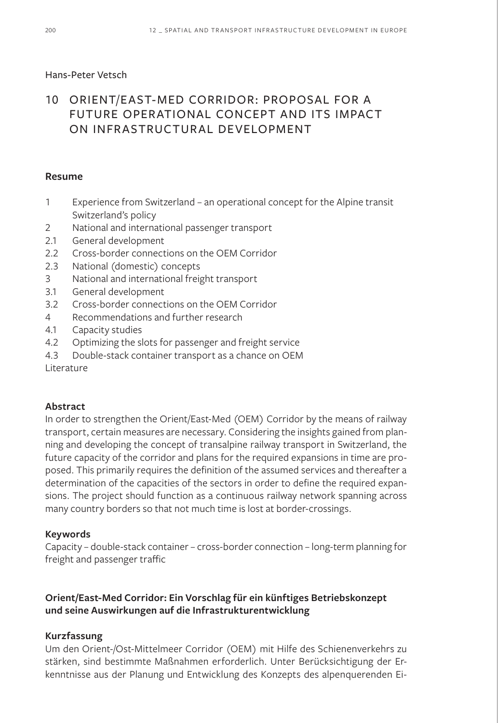### Hans-Peter Vetsch

# 10 ORIENT/EAST-MED CORRIDOR: PROPOSAL FOR A FUTURE OPERATIONAL CONCEPT AND ITS IMPACT ON INFRASTRUCTURAL DEVELOPMENT

#### **Resume**

- 1 Experience from Switzerland an operational concept for the Alpine transit Switzerland's policy
- 2 National and international passenger transport
- 2.1 General development
- 2.2 Cross-border connections on the OEM Corridor
- 2.3 National (domestic) concepts
- 3 National and international freight transport
- 3.1 General development
- 3.2 Cross-border connections on the OEM Corridor
- 4 Recommendations and further research
- 4.1 Capacity studies
- 4.2 Optimizing the slots for passenger and freight service
- 4.3 Double-stack container transport as a chance on OEM

Literature

#### **Abstract**

In order to strengthen the Orient/East-Med (OEM) Corridor by the means of railway transport, certain measures are necessary. Considering the insights gained from planning and developing the concept of transalpine railway transport in Switzerland, the future capacity of the corridor and plans for the required expansions in time are proposed. This primarily requires the definition of the assumed services and thereafter a determination of the capacities of the sectors in order to define the required expansions. The project should function as a continuous railway network spanning across many country borders so that not much time is lost at border-crossings.

#### **Keywords**

Capacity – double-stack container – cross-border connection – long-term planning for freight and passenger traffic

### **Orient/East-Med Corridor: Ein Vorschlag für ein künftiges Betriebskonzept und seine Auswirkungen auf die Infrastrukturentwicklung**

### **Kurzfassung**

Um den Orient-/Ost-Mittelmeer Corridor (OEM) mit Hilfe des Schienenverkehrs zu stärken, sind bestimmte Maßnahmen erforderlich. Unter Berücksichtigung der Erkenntnisse aus der Planung und Entwicklung des Konzepts des alpenquerenden Ei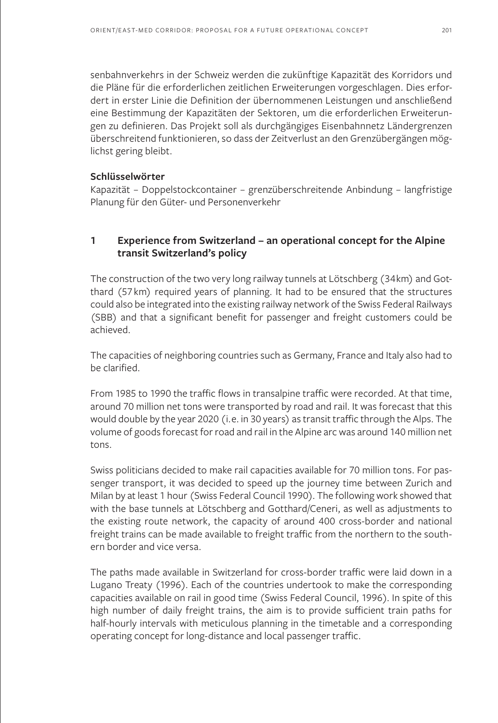senbahnverkehrs in der Schweiz werden die zukünftige Kapazität des Korridors und die Pläne für die erforderlichen zeitlichen Erweiterungen vorgeschlagen. Dies erfordert in erster Linie die Definition der übernommenen Leistungen und anschließend eine Bestimmung der Kapazitäten der Sektoren, um die erforderlichen Erweiterungen zu definieren. Das Projekt soll als durchgängiges Eisenbahnnetz Ländergrenzen überschreitend funktionieren, so dass der Zeitverlust an den Grenzübergängen möglichst gering bleibt.

#### **Schlüsselwörter**

Kapazität – Doppelstockcontainer – grenzüberschreitende Anbindung – langfristige Planung für den Güter- und Personenverkehr

### **1 Experience from Switzerland – an operational concept for the Alpine transit Switzerland's policy**

The construction of the two very long railway tunnels at Lötschberg (34km) and Gotthard (57km) required years of planning. It had to be ensured that the structures could also be integrated into the existing railway network of the Swiss Federal Railways (SBB) and that a significant benefit for passenger and freight customers could be achieved.

The capacities of neighboring countries such as Germany, France and Italy also had to be clarified.

From 1985 to 1990 the traffic flows in transalpine traffic were recorded. At that time, around 70 million net tons were transported by road and rail. It was forecast that this would double by the year 2020 (i.e. in 30 years) as transit traffic through the Alps. The volume of goods forecast for road and rail in the Alpine arc was around 140 million net tons.

Swiss politicians decided to make rail capacities available for 70 million tons. For passenger transport, it was decided to speed up the journey time between Zurich and Milan by at least 1 hour (Swiss Federal Council 1990). The following work showed that with the base tunnels at Lötschberg and Gotthard/Ceneri, as well as adjustments to the existing route network, the capacity of around 400 cross-border and national freight trains can be made available to freight traffic from the northern to the southern border and vice versa.

The paths made available in Switzerland for cross-border traffic were laid down in a Lugano Treaty (1996). Each of the countries undertook to make the corresponding capacities available on rail in good time (Swiss Federal Council, 1996). In spite of this high number of daily freight trains, the aim is to provide sufficient train paths for half-hourly intervals with meticulous planning in the timetable and a corresponding operating concept for long-distance and local passenger traffic.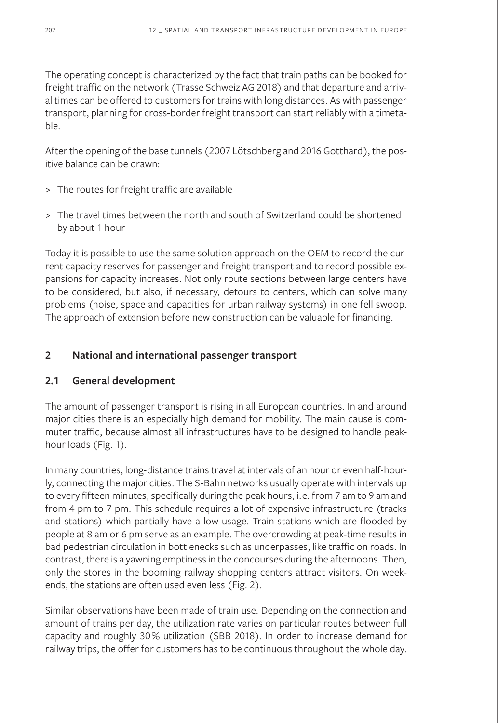The operating concept is characterized by the fact that train paths can be booked for freight traffic on the network (Trasse Schweiz AG 2018) and that departure and arrival times can be offered to customers for trains with long distances. As with passenger transport, planning for cross-border freight transport can start reliably with a timetable.

After the opening of the base tunnels (2007 Lötschberg and 2016 Gotthard), the positive balance can be drawn:

- > The routes for freight traffic are available
- > The travel times between the north and south of Switzerland could be shortened by about 1 hour

Today it is possible to use the same solution approach on the OEM to record the current capacity reserves for passenger and freight transport and to record possible expansions for capacity increases. Not only route sections between large centers have to be considered, but also, if necessary, detours to centers, which can solve many problems (noise, space and capacities for urban railway systems) in one fell swoop. The approach of extension before new construction can be valuable for financing.

### **2 National and international passenger transport**

### **2.1 General development**

The amount of passenger transport is rising in all European countries. In and around major cities there is an especially high demand for mobility. The main cause is commuter traffic, because almost all infrastructures have to be designed to handle peakhour loads (Fig. 1).

In many countries, long-distance trains travel at intervals of an hour or even half-hourly, connecting the major cities. The S-Bahn networks usually operate with intervals up to every fifteen minutes, specifically during the peak hours, i.e. from 7 am to 9 am and from 4 pm to 7 pm. This schedule requires a lot of expensive infrastructure (tracks and stations) which partially have a low usage. Train stations which are flooded by people at 8 am or 6 pm serve as an example. The overcrowding at peak-time results in bad pedestrian circulation in bottlenecks such as underpasses, like traffic on roads. In contrast, there is a yawning emptiness in the concourses during the afternoons. Then, only the stores in the booming railway shopping centers attract visitors. On weekends, the stations are often used even less (Fig. 2).

Similar observations have been made of train use. Depending on the connection and amount of trains per day, the utilization rate varies on particular routes between full capacity and roughly 30% utilization (SBB 2018). In order to increase demand for railway trips, the offer for customers has to be continuous throughout the whole day.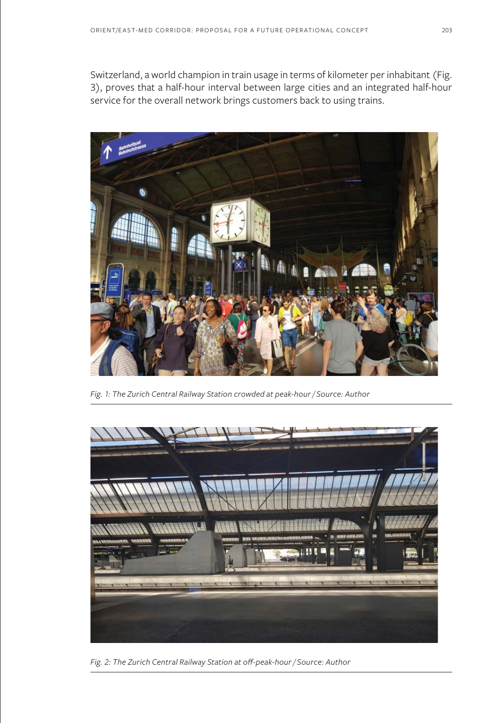Switzerland, a world champion in train usage in terms of kilometer per inhabitant (Fig. 3), proves that a half-hour interval between large cities and an integrated half-hour service for the overall network brings customers back to using trains.



*Fig. 1: The Zurich Central Railway Station crowded at peak-hour / Source: Author*



*Fig. 2: The Zurich Central Railway Station at off-peak-hour / Source: Author*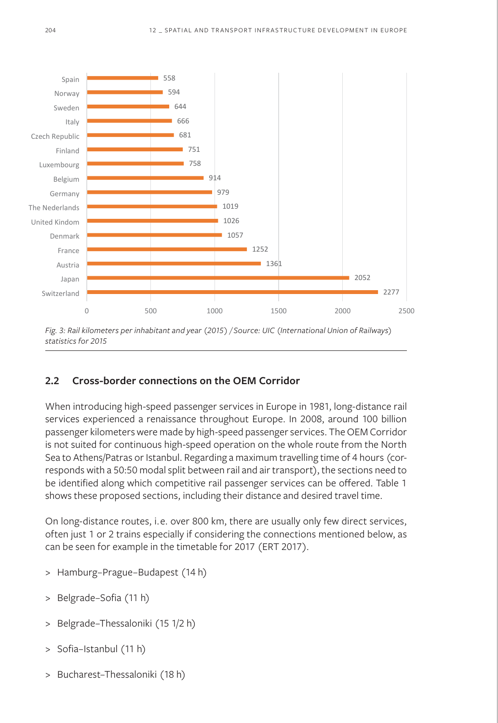

*Fig. 3: Rail kilometers per inhabitant and year (2015) / Source: UIC (International Union of Railways) statistics for 2015*

#### **2.2 Cross-border connections on the OEM Corridor**

When introducing high-speed passenger services in Europe in 1981, long-distance rail services experienced a renaissance throughout Europe. In 2008, around 100 billion passenger kilometers were made by high-speed passenger services. The OEM Corridor is not suited for continuous high-speed operation on the whole route from the North Sea to Athens/Patras or Istanbul. Regarding a maximum travelling time of 4 hours (corresponds with a 50:50 modal split between rail and air transport), the sections need to be identified along which competitive rail passenger services can be offered. Table 1 shows these proposed sections, including their distance and desired travel time.

On long-distance routes, i.e. over 800 km, there are usually only few direct services, often just 1 or 2 trains especially if considering the connections mentioned below, as can be seen for example in the timetable for 2017 (ERT 2017).

- > Hamburg–Prague–Budapest (14 h)
- > Belgrade–Sofia (11 h)
- Belgrade-Thessaloniki (15 1/2 h)
- > Sofia–Istanbul (11 h)
- > Bucharest–Thessaloniki (18 h)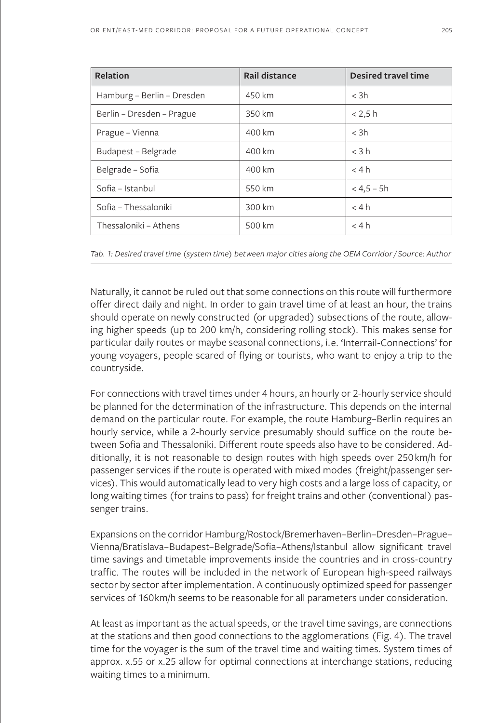| Relation                   | Rail distance | <b>Desired travel time</b> |  |
|----------------------------|---------------|----------------------------|--|
| Hamburg - Berlin - Dresden | 450 km        | $<$ 3h                     |  |
| Berlin - Dresden - Prague  | 350 km        | < 2.5 h                    |  |
| Prague - Vienna            | 400 km        | $<$ 3h                     |  |
| Budapest - Belgrade        | 400 km        | $<$ 3 h                    |  |
| Belgrade - Sofia           | 400 km        | < 4 h                      |  |
| Sofia - Istanbul           | 550 km        | $< 4.5 - 5h$               |  |
| Sofia - Thessaloniki       | 300 km        | < 4 h                      |  |
| Thessaloniki - Athens      | 500 km        | < 4 h                      |  |

*Tab. 1: Desired travel time (system time) between major cities along the OEM Corridor / Source: Author*

Naturally, it cannot be ruled out that some connections on this route will furthermore offer direct daily and night. In order to gain travel time of at least an hour, the trains should operate on newly constructed (or upgraded) subsections of the route, allowing higher speeds (up to 200 km/h, considering rolling stock). This makes sense for particular daily routes or maybe seasonal connections, i.e. 'Interrail-Connections' for young voyagers, people scared of flying or tourists, who want to enjoy a trip to the countryside.

For connections with travel times under 4 hours, an hourly or 2-hourly service should be planned for the determination of the infrastructure. This depends on the internal demand on the particular route. For example, the route Hamburg–Berlin requires an hourly service, while a 2-hourly service presumably should suffice on the route between Sofia and Thessaloniki. Different route speeds also have to be considered. Additionally, it is not reasonable to design routes with high speeds over 250km/h for passenger services if the route is operated with mixed modes (freight/passenger services). This would automatically lead to very high costs and a large loss of capacity, or long waiting times (for trains to pass) for freight trains and other (conventional) passenger trains.

Expansions on the corridor Hamburg/Rostock/Bremerhaven–Berlin–Dresden–Prague– Vienna/Bratislava–Budapest–Belgrade/Sofia–Athens/Istanbul allow significant travel time savings and timetable improvements inside the countries and in cross-country traffic. The routes will be included in the network of European high-speed railways sector by sector after implementation. A continuously optimized speed for passenger services of 160km/h seems to be reasonable for all parameters under consideration.

At least as important as the actual speeds, or the travel time savings, are connections at the stations and then good connections to the agglomerations (Fig. 4). The travel time for the voyager is the sum of the travel time and waiting times. System times of approx. x.55 or x.25 allow for optimal connections at interchange stations, reducing waiting times to a minimum.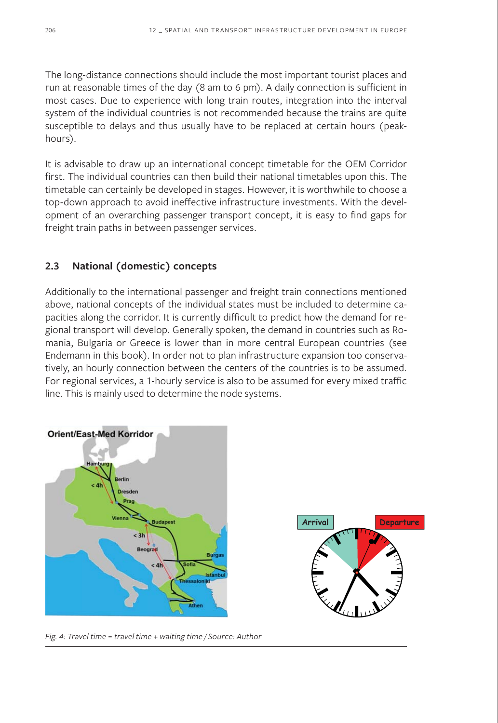The long-distance connections should include the most important tourist places and run at reasonable times of the day (8 am to 6 pm). A daily connection is sufficient in most cases. Due to experience with long train routes, integration into the interval system of the individual countries is not recommended because the trains are quite susceptible to delays and thus usually have to be replaced at certain hours (peakhours).

It is advisable to draw up an international concept timetable for the OEM Corridor first. The individual countries can then build their national timetables upon this. The timetable can certainly be developed in stages. However, it is worthwhile to choose a top-down approach to avoid ineffective infrastructure investments. With the development of an overarching passenger transport concept, it is easy to find gaps for freight train paths in between passenger services.

#### **2.3 National (domestic) concepts**

Additionally to the international passenger and freight train connections mentioned above, national concepts of the individual states must be included to determine capacities along the corridor. It is currently difficult to predict how the demand for regional transport will develop. Generally spoken, the demand in countries such as Romania, Bulgaria or Greece is lower than in more central European countries (see Endemann in this book). In order not to plan infrastructure expansion too conservatively, an hourly connection between the centers of the countries is to be assumed. For regional services, a 1-hourly service is also to be assumed for every mixed traffic line. This is mainly used to determine the node systems.



*Fig. 4: Travel time = travel time + waiting time / Source: Author*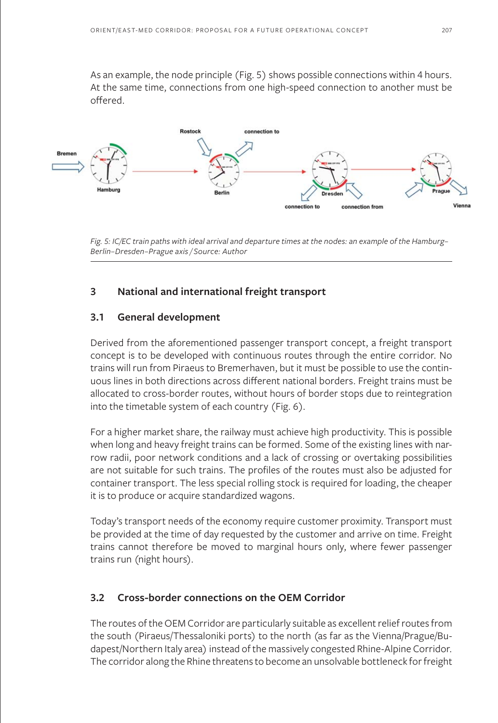As an example, the node principle (Fig. 5) shows possible connections within 4 hours. At the same time, connections from one high-speed connection to another must be offered.



*Fig. 5: IC/EC train paths with ideal arrival and departure times at the nodes: an example of the Hamburg– Berlin–Dresden–Prague axis / Source: Author*

### **3 National and international freight transport**

#### **3.1 General development**

Derived from the aforementioned passenger transport concept, a freight transport concept is to be developed with continuous routes through the entire corridor. No trains will run from Piraeus to Bremerhaven, but it must be possible to use the continuous lines in both directions across different national borders. Freight trains must be allocated to cross-border routes, without hours of border stops due to reintegration into the timetable system of each country (Fig. 6).

For a higher market share, the railway must achieve high productivity. This is possible when long and heavy freight trains can be formed. Some of the existing lines with narrow radii, poor network conditions and a lack of crossing or overtaking possibilities are not suitable for such trains. The profiles of the routes must also be adjusted for container transport. The less special rolling stock is required for loading, the cheaper it is to produce or acquire standardized wagons.

Today's transport needs of the economy require customer proximity. Transport must be provided at the time of day requested by the customer and arrive on time. Freight trains cannot therefore be moved to marginal hours only, where fewer passenger trains run (night hours).

#### **3.2 Cross-border connections on the OEM Corridor**

The routes of the OEM Corridor are particularly suitable as excellent relief routes from the south (Piraeus/Thessaloniki ports) to the north (as far as the Vienna/Prague/Budapest/Northern Italy area) instead of the massively congested Rhine-Alpine Corridor. The corridor along the Rhine threatens to become an unsolvable bottleneck for freight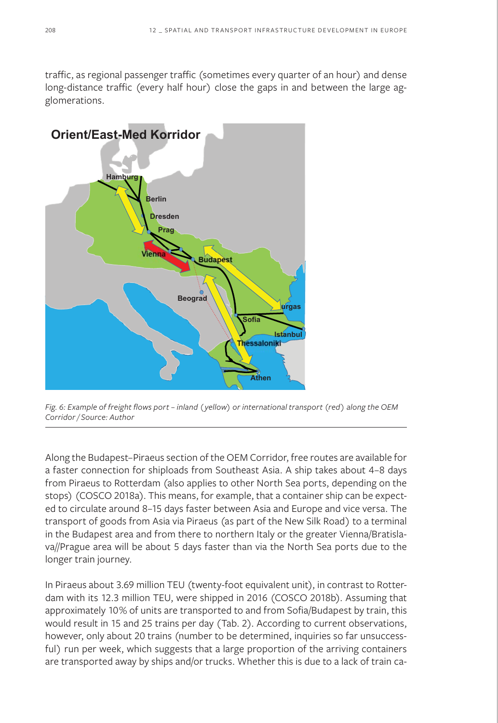traffic, as regional passenger traffic (sometimes every quarter of an hour) and dense long-distance traffic (every half hour) close the gaps in and between the large agglomerations.



*Fig. 6: Example of freight flows port – inland (yellow) or international transport (red) along the OEM Corridor / Source: Author*

Along the Budapest–Piraeus section of the OEM Corridor, free routes are available for a faster connection for shiploads from Southeast Asia. A ship takes about 4–8 days from Piraeus to Rotterdam (also applies to other North Sea ports, depending on the stops) (COSCO 2018a). This means, for example, that a container ship can be expected to circulate around 8–15 days faster between Asia and Europe and vice versa. The transport of goods from Asia via Piraeus (as part of the New Silk Road) to a terminal in the Budapest area and from there to northern Italy or the greater Vienna/Bratislava//Prague area will be about 5 days faster than via the North Sea ports due to the longer train journey.

In Piraeus about 3.69 million TEU (twenty-foot equivalent unit), in contrast to Rotterdam with its 12.3 million TEU, were shipped in 2016 (COSCO 2018b). Assuming that approximately 10% of units are transported to and from Sofia/Budapest by train, this would result in 15 and 25 trains per day (Tab. 2). According to current observations, however, only about 20 trains (number to be determined, inquiries so far unsuccessful) run per week, which suggests that a large proportion of the arriving containers are transported away by ships and/or trucks. Whether this is due to a lack of train ca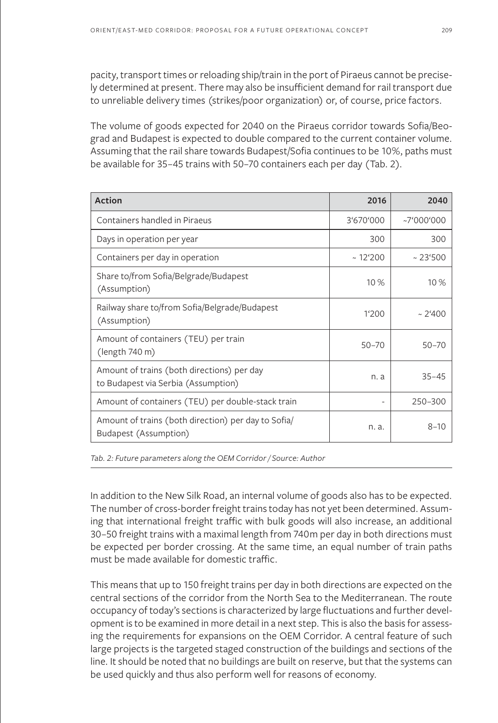pacity, transport times or reloading ship/train in the port of Piraeus cannot be precisely determined at present. There may also be insufficient demand for rail transport due to unreliable delivery times (strikes/poor organization) or, of course, price factors.

The volume of goods expected for 2040 on the Piraeus corridor towards Sofia/Beograd and Budapest is expected to double compared to the current container volume. Assuming that the rail share towards Budapest/Sofia continues to be 10%, paths must be available for 35–45 trains with 50–70 containers each per day (Tab. 2).

| <b>Action</b>                                                                     | 2016             | 2040        |
|-----------------------------------------------------------------------------------|------------------|-------------|
| Containers handled in Piraeus                                                     | 3'670'000        | ~17'000'000 |
| Days in operation per year                                                        | 300              | 300         |
| Containers per day in operation                                                   | $~12^{\circ}200$ | ~23'500     |
| Share to/from Sofia/Belgrade/Budapest<br>(Assumption)                             | 10 %             | 10%         |
| Railway share to/from Sofia/Belgrade/Budapest<br>(Assumption)                     | 1'200            | ~2400       |
| Amount of containers (TEU) per train<br>(length 740 m)                            | $50 - 70$        | $50 - 70$   |
| Amount of trains (both directions) per day<br>to Budapest via Serbia (Assumption) | n. a             | $35 - 45$   |
| Amount of containers (TEU) per double-stack train                                 |                  | 250-300     |
| Amount of trains (both direction) per day to Sofia/<br>Budapest (Assumption)      | n. a.            | $8 - 10$    |

*Tab. 2: Future parameters along the OEM Corridor / Source: Author*

In addition to the New Silk Road, an internal volume of goods also has to be expected. The number of cross-border freight trains today has not yet been determined. Assuming that international freight traffic with bulk goods will also increase, an additional 30–50 freight trains with a maximal length from 740m per day in both directions must be expected per border crossing. At the same time, an equal number of train paths must be made available for domestic traffic.

This means that up to 150 freight trains per day in both directions are expected on the central sections of the corridor from the North Sea to the Mediterranean. The route occupancy of today's sections is characterized by large fluctuations and further development is to be examined in more detail in a next step. This is also the basis for assessing the requirements for expansions on the OEM Corridor. A central feature of such large projects is the targeted staged construction of the buildings and sections of the line. It should be noted that no buildings are built on reserve, but that the systems can be used quickly and thus also perform well for reasons of economy.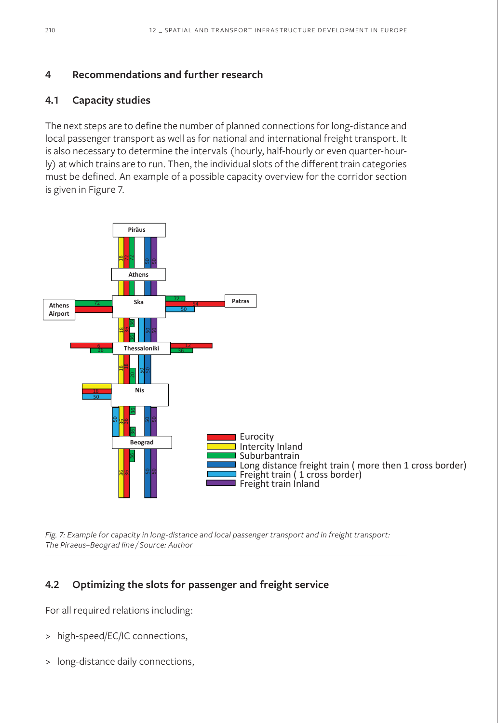### **4 Recommendations and further research**

### **4.1 Capacity studies**

The next steps are to define the number of planned connections for long-distance and local passenger transport as well as for national and international freight transport. It is also necessary to determine the intervals (hourly, half-hourly or even quarter-hourly) at which trains are to run. Then, the individual slots of the different train categories must be defined. An example of a possible capacity overview for the corridor section is given in Figure 7.



*Fig. 7: Example for capacity in long-distance and local passenger transport and in freight transport: The Piraeus–Beograd line / Source: Author*

## **4.2 Optimizing the slots for passenger and freight service**

For all required relations including:

- > high-speed/EC/IC connections,
-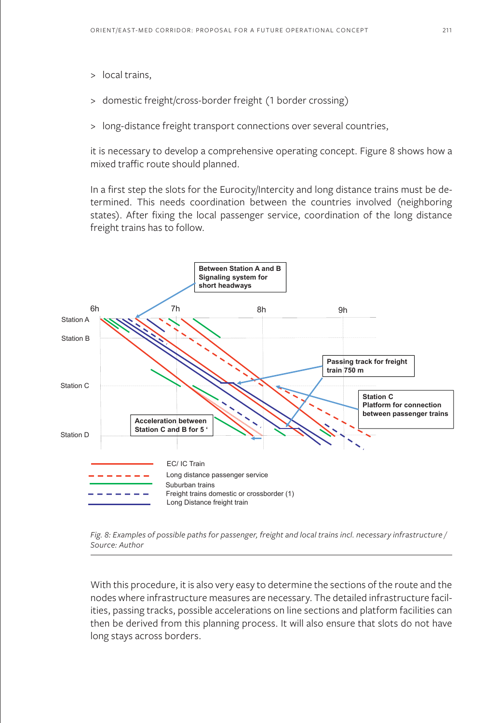- > local trains,
- > domestic freight/cross-border freight (1 border crossing)
- > long-distance freight transport connections over several countries,

it is necessary to develop a comprehensive operating concept. Figure 8 shows how a mixed traffic route should planned.

In a first step the slots for the Eurocity/Intercity and long distance trains must be determined. This needs coordination between the countries involved (neighboring states). After fixing the local passenger service, coordination of the long distance freight trains has to follow.



*Fig. 8: Examples of possible paths for passenger, freight and local trains incl. necessary infrastructure / Source: Author*

With this procedure, it is also very easy to determine the sections of the route and the nodes where infrastructure measures are necessary. The detailed infrastructure facilities, passing tracks, possible accelerations on line sections and platform facilities can then be derived from this planning process. It will also ensure that slots do not have long stays across borders.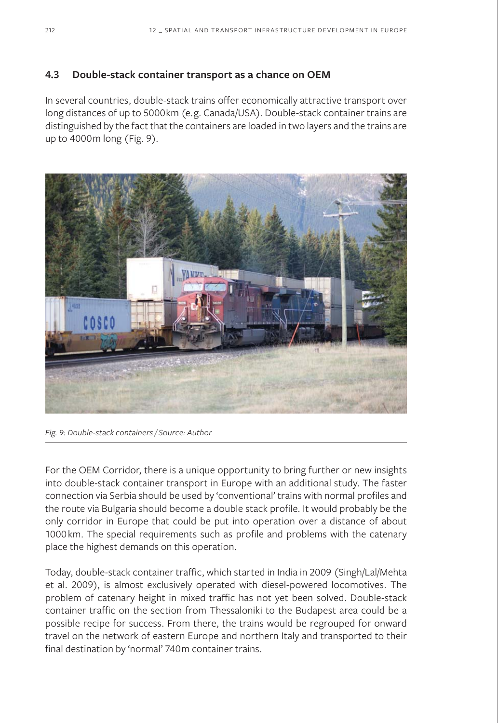#### **4.3 Double-stack container transport as a chance on OEM**

In several countries, double-stack trains offer economically attractive transport over long distances of up to 5000km (e.g. Canada/USA). Double-stack container trains are distinguished by the fact that the containers are loaded in two layers and the trains are up to 4000m long (Fig. 9).



*Fig. 9: Double-stack containers / Source: Author*

For the OEM Corridor, there is a unique opportunity to bring further or new insights into double-stack container transport in Europe with an additional study. The faster connection via Serbia should be used by 'conventional' trains with normal profiles and the route via Bulgaria should become a double stack profile. It would probably be the only corridor in Europe that could be put into operation over a distance of about 1000km. The special requirements such as profile and problems with the catenary place the highest demands on this operation.

Today, double-stack container traffic, which started in India in 2009 (Singh/Lal/Mehta et al. 2009), is almost exclusively operated with diesel-powered locomotives. The problem of catenary height in mixed traffic has not yet been solved. Double-stack container traffic on the section from Thessaloniki to the Budapest area could be a possible recipe for success. From there, the trains would be regrouped for onward travel on the network of eastern Europe and northern Italy and transported to their final destination by 'normal' 740m container trains.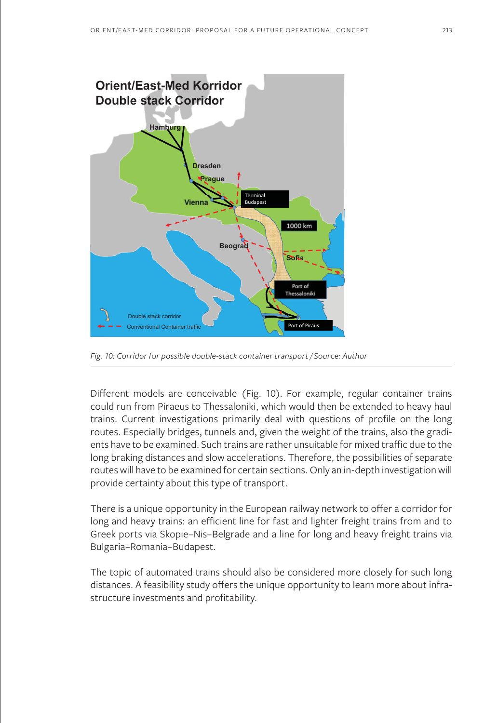

*Fig. 10: Corridor for possible double-stack container transport / Source: Author*

Different models are conceivable (Fig. 10). For example, regular container trains could run from Piraeus to Thessaloniki, which would then be extended to heavy haul trains. Current investigations primarily deal with questions of profile on the long routes. Especially bridges, tunnels and, given the weight of the trains, also the gradients have to be examined. Such trains are rather unsuitable for mixed traffic due to the long braking distances and slow accelerations. Therefore, the possibilities of separate routes will have to be examined for certain sections. Only an in-depth investigation will provide certainty about this type of transport.

There is a unique opportunity in the European railway network to offer a corridor for long and heavy trains: an efficient line for fast and lighter freight trains from and to Greek ports via Skopie–Nis–Belgrade and a line for long and heavy freight trains via Bulgaria–Romania–Budapest.

The topic of automated trains should also be considered more closely for such long distances. A feasibility study offers the unique opportunity to learn more about infrastructure investments and profitability.